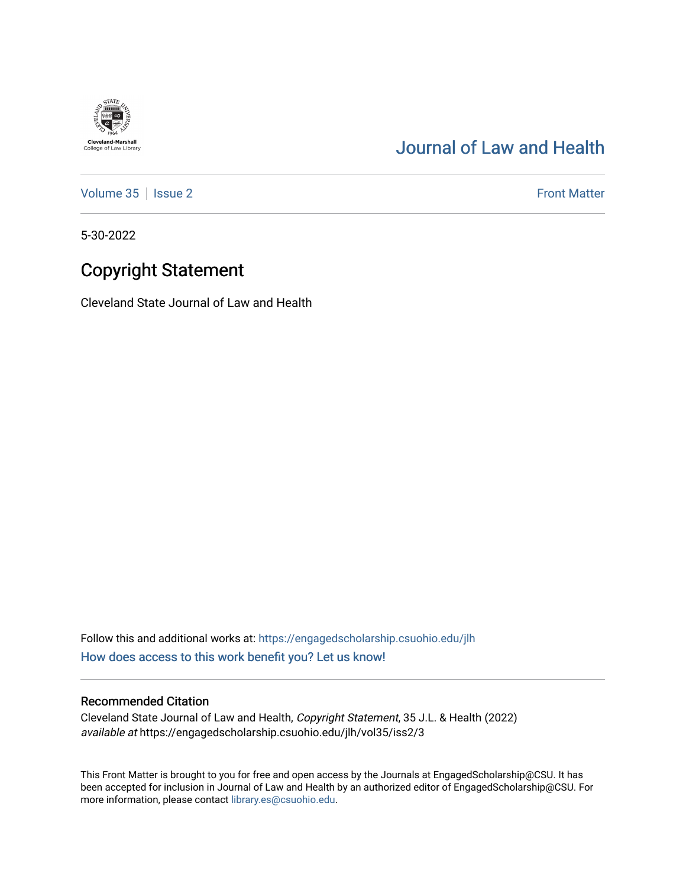## [Journal of Law and Health](https://engagedscholarship.csuohio.edu/jlh)

[Volume 35](https://engagedscholarship.csuohio.edu/jlh/vol35) | [Issue 2](https://engagedscholarship.csuohio.edu/jlh/vol35/iss2) Front Matter

5-30-2022

**Cleveland-Marshall**<br>College of Law Library

## Copyright Statement

Cleveland State Journal of Law and Health

Follow this and additional works at: [https://engagedscholarship.csuohio.edu/jlh](https://engagedscholarship.csuohio.edu/jlh?utm_source=engagedscholarship.csuohio.edu%2Fjlh%2Fvol35%2Fiss2%2F3&utm_medium=PDF&utm_campaign=PDFCoverPages)  [How does access to this work benefit you? Let us know!](http://library.csuohio.edu/engaged/)

## Recommended Citation

Cleveland State Journal of Law and Health, Copyright Statement, 35 J.L. & Health (2022) available at https://engagedscholarship.csuohio.edu/jlh/vol35/iss2/3

This Front Matter is brought to you for free and open access by the Journals at EngagedScholarship@CSU. It has been accepted for inclusion in Journal of Law and Health by an authorized editor of EngagedScholarship@CSU. For more information, please contact [library.es@csuohio.edu](mailto:library.es@csuohio.edu).